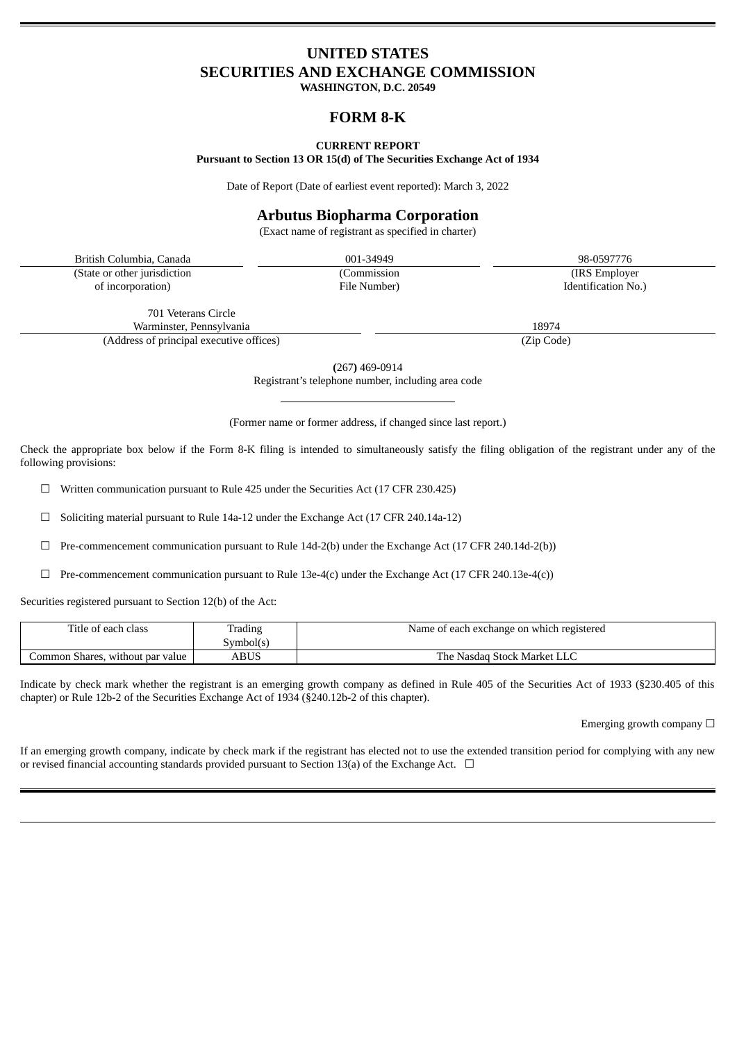# **UNITED STATES SECURITIES AND EXCHANGE COMMISSION**

**WASHINGTON, D.C. 20549**

# **FORM 8-K**

#### **CURRENT REPORT**

**Pursuant to Section 13 OR 15(d) of The Securities Exchange Act of 1934**

Date of Report (Date of earliest event reported): March 3, 2022

# **Arbutus Biopharma Corporation**

(Exact name of registrant as specified in charter)

British Columbia, Canada 001-34949 98-0597776 (State or other jurisdiction of incorporation)

(Commission

(IRS Employer Identification No.)

701 Veterans Circle Warminster, Pennsylvania 18974 (Address of principal executive offices) (Zip Code)

**(**267**)** 469-0914

Registrant's telephone number, including area code

(Former name or former address, if changed since last report.)

Check the appropriate box below if the Form 8-K filing is intended to simultaneously satisfy the filing obligation of the registrant under any of the following provisions:

☐ Written communication pursuant to Rule 425 under the Securities Act (17 CFR 230.425)

 $\Box$  Soliciting material pursuant to Rule 14a-12 under the Exchange Act (17 CFR 240.14a-12)

☐ Pre-commencement communication pursuant to Rule 14d-2(b) under the Exchange Act (17 CFR 240.14d-2(b))

☐ Pre-commencement communication pursuant to Rule 13e-4(c) under the Exchange Act (17 CFR 240.13e-4(c))

Securities registered pursuant to Section 12(b) of the Act:

| Title of each class              | Trading   | Name of each exchange on which registered |
|----------------------------------|-----------|-------------------------------------------|
|                                  | Svmbol(s` |                                           |
| Common Shares, without par value | ABUS      | The Nasdag Stock Market LLC               |

Indicate by check mark whether the registrant is an emerging growth company as defined in Rule 405 of the Securities Act of 1933 (§230.405 of this chapter) or Rule 12b-2 of the Securities Exchange Act of 1934 (§240.12b-2 of this chapter).

Emerging growth company  $\Box$ 

If an emerging growth company, indicate by check mark if the registrant has elected not to use the extended transition period for complying with any new or revised financial accounting standards provided pursuant to Section 13(a) of the Exchange Act.  $\Box$ 

File Number)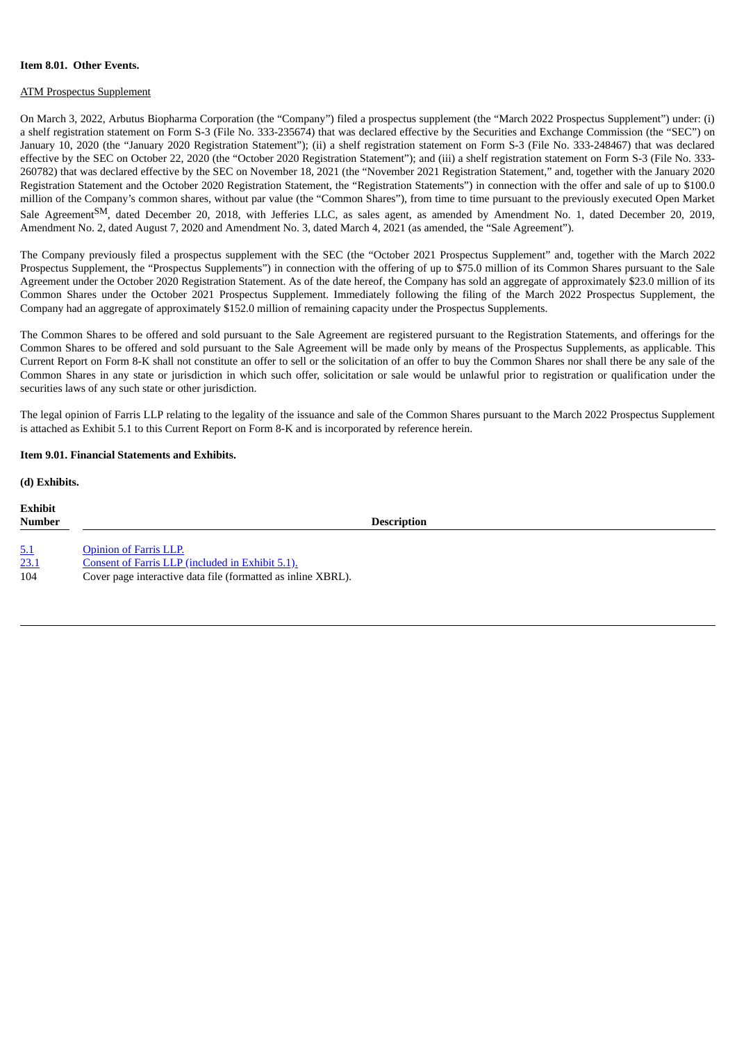#### **Item 8.01. Other Events.**

#### ATM Prospectus Supplement

On March 3, 2022, Arbutus Biopharma Corporation (the "Company") filed a prospectus supplement (the "March 2022 Prospectus Supplement") under: (i) a shelf registration statement on Form S-3 (File No. 333-235674) that was declared effective by the Securities and Exchange Commission (the "SEC") on January 10, 2020 (the "January 2020 Registration Statement"); (ii) a shelf registration statement on Form S-3 (File No. 333-248467) that was declared effective by the SEC on October 22, 2020 (the "October 2020 Registration Statement"); and (iii) a shelf registration statement on Form S-3 (File No. 333- 260782) that was declared effective by the SEC on November 18, 2021 (the "November 2021 Registration Statement," and, together with the January 2020 Registration Statement and the October 2020 Registration Statement, the "Registration Statements") in connection with the offer and sale of up to \$100.0 million of the Company's common shares, without par value (the "Common Shares"), from time to time pursuant to the previously executed Open Market Sale Agreement<sup>SM</sup>, dated December 20, 2018, with Jefferies LLC, as sales agent, as amended by Amendment No. 1, dated December 20, 2019, Amendment No. 2, dated August 7, 2020 and Amendment No. 3, dated March 4, 2021 (as amended, the "Sale Agreement").

The Company previously filed a prospectus supplement with the SEC (the "October 2021 Prospectus Supplement" and, together with the March 2022 Prospectus Supplement, the "Prospectus Supplements") in connection with the offering of up to \$75.0 million of its Common Shares pursuant to the Sale Agreement under the October 2020 Registration Statement. As of the date hereof, the Company has sold an aggregate of approximately \$23.0 million of its Common Shares under the October 2021 Prospectus Supplement. Immediately following the filing of the March 2022 Prospectus Supplement, the Company had an aggregate of approximately \$152.0 million of remaining capacity under the Prospectus Supplements.

The Common Shares to be offered and sold pursuant to the Sale Agreement are registered pursuant to the Registration Statements, and offerings for the Common Shares to be offered and sold pursuant to the Sale Agreement will be made only by means of the Prospectus Supplements, as applicable. This Current Report on Form 8-K shall not constitute an offer to sell or the solicitation of an offer to buy the Common Shares nor shall there be any sale of the Common Shares in any state or jurisdiction in which such offer, solicitation or sale would be unlawful prior to registration or qualification under the securities laws of any such state or other jurisdiction.

The legal opinion of Farris LLP relating to the legality of the issuance and sale of the Common Shares pursuant to the March 2022 Prospectus Supplement is attached as Exhibit 5.1 to this Current Report on Form 8-K and is incorporated by reference herein.

### **Item 9.01. Financial Statements and Exhibits.**

**(d) Exhibits. Exhibit Number Description** [5.1](#page-3-0) [Opinion](#page-3-0) of Farris LLP. [23.1](#page-3-0) Consent of Farris LLP [\(included](#page-3-0) in Exhibit 5.1). 104 Cover page interactive data file (formatted as inline XBRL).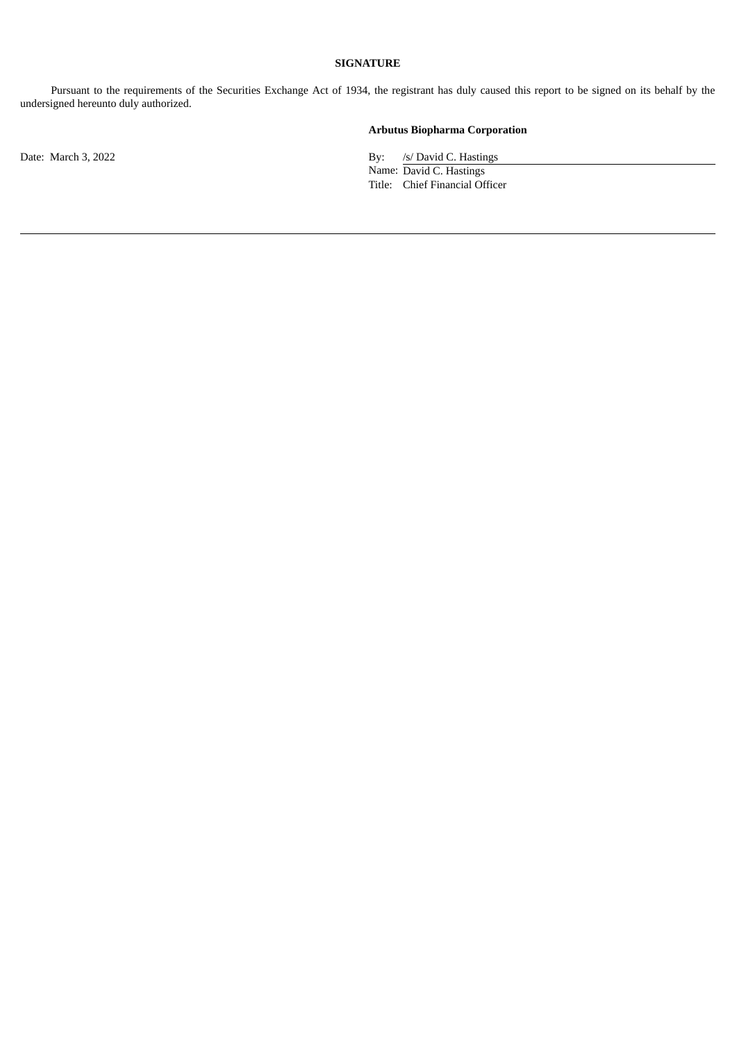## **SIGNATURE**

Pursuant to the requirements of the Securities Exchange Act of 1934, the registrant has duly caused this report to be signed on its behalf by the undersigned hereunto duly authorized.

# **Arbutus Biopharma Corporation**

Date: March 3, 2022 By: /s/ David C. Hastings

Name: David C. Hastings Title: Chief Financial Officer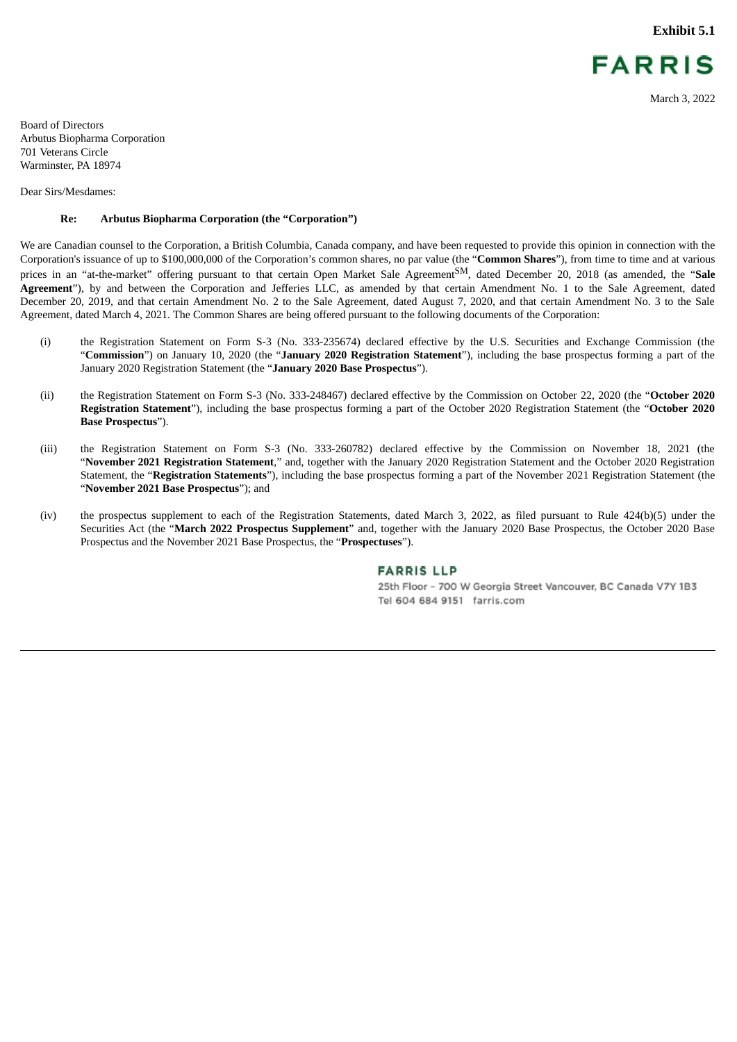**Exhibit 5.1**



March 3, 2022

<span id="page-3-0"></span>Board of Directors Arbutus Biopharma Corporation 701 Veterans Circle Warminster, PA 18974

Dear Sirs/Mesdames:

#### **Re: Arbutus Biopharma Corporation (the "Corporation")**

We are Canadian counsel to the Corporation, a British Columbia, Canada company, and have been requested to provide this opinion in connection with the Corporation's issuance of up to \$100,000,000 of the Corporation's common shares, no par value (the "**Common Shares**"), from time to time and at various prices in an "at-the-market" offering pursuant to that certain Open Market Sale Agreement<sup>SM</sup>, dated December 20, 2018 (as amended, the "**Sale Agreement**"), by and between the Corporation and Jefferies LLC, as amended by that certain Amendment No. 1 to the Sale Agreement, dated December 20, 2019, and that certain Amendment No. 2 to the Sale Agreement, dated August 7, 2020, and that certain Amendment No. 3 to the Sale Agreement, dated March 4, 2021. The Common Shares are being offered pursuant to the following documents of the Corporation:

- (i) the Registration Statement on Form S-3 (No. 333-235674) declared effective by the U.S. Securities and Exchange Commission (the "**Commission**") on January 10, 2020 (the "**January 2020 Registration Statement**"), including the base prospectus forming a part of the January 2020 Registration Statement (the "**January 2020 Base Prospectus**").
- (ii) the Registration Statement on Form S-3 (No. 333-248467) declared effective by the Commission on October 22, 2020 (the "**October 2020 Registration Statement**"), including the base prospectus forming a part of the October 2020 Registration Statement (the "**October 2020 Base Prospectus**").
- (iii) the Registration Statement on Form S-3 (No. 333-260782) declared effective by the Commission on November 18, 2021 (the "**November 2021 Registration Statement**," and, together with the January 2020 Registration Statement and the October 2020 Registration Statement, the "**Registration Statements**"), including the base prospectus forming a part of the November 2021 Registration Statement (the "**November 2021 Base Prospectus**"); and
- (iv) the prospectus supplement to each of the Registration Statements, dated March 3, 2022, as filed pursuant to Rule 424(b)(5) under the Securities Act (the "**March 2022 Prospectus Supplement**" and, together with the January 2020 Base Prospectus, the October 2020 Base Prospectus and the November 2021 Base Prospectus, the "**Prospectuses**").

#### **FARRIS LLP**

25th Floor - 700 W Georgia Street Vancouver, BC Canada V7Y 1B3 Tel 604 684 9151 farris.com